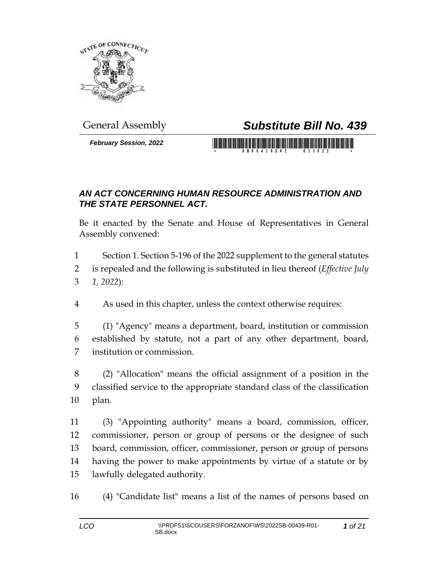

## General Assembly *Substitute Bill No. 439*

*February Session, 2022*

## *AN ACT CONCERNING HUMAN RESOURCE ADMINISTRATION AND THE STATE PERSONNEL ACT.*

Be it enacted by the Senate and House of Representatives in General Assembly convened:

 Section 1. Section 5-196 of the 2022 supplement to the general statutes is repealed and the following is substituted in lieu thereof (*Effective July 1, 2022*):

As used in this chapter, unless the context otherwise requires:

 (1) "Agency" means a department, board, institution or commission established by statute, not a part of any other department, board, institution or commission.

 (2) "Allocation" means the official assignment of a position in the classified service to the appropriate standard class of the classification plan.

 (3) "Appointing authority" means a board, commission, officer, commissioner, person or group of persons or the designee of such board, commission, officer, commissioner, person or group of persons having the power to make appointments by virtue of a statute or by lawfully delegated authority.

(4) "Candidate list" means a list of the names of persons based on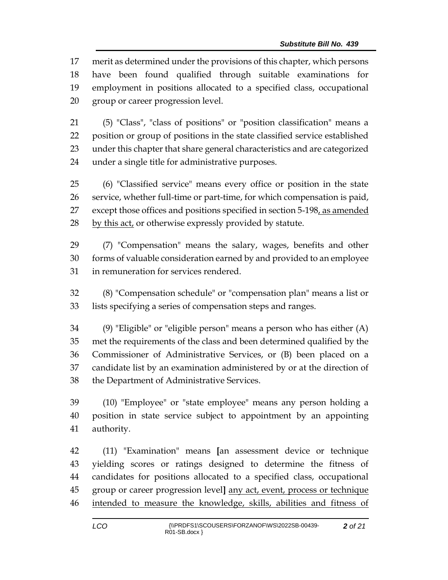merit as determined under the provisions of this chapter, which persons have been found qualified through suitable examinations for employment in positions allocated to a specified class, occupational group or career progression level.

 (5) "Class", "class of positions" or "position classification" means a position or group of positions in the state classified service established under this chapter that share general characteristics and are categorized under a single title for administrative purposes.

 (6) "Classified service" means every office or position in the state service, whether full-time or part-time, for which compensation is paid, except those offices and positions specified in section 5-198, as amended 28 by this act, or otherwise expressly provided by statute.

 (7) "Compensation" means the salary, wages, benefits and other forms of valuable consideration earned by and provided to an employee in remuneration for services rendered.

 (8) "Compensation schedule" or "compensation plan" means a list or lists specifying a series of compensation steps and ranges.

 (9) "Eligible" or "eligible person" means a person who has either (A) met the requirements of the class and been determined qualified by the Commissioner of Administrative Services, or (B) been placed on a candidate list by an examination administered by or at the direction of the Department of Administrative Services.

 (10) "Employee" or "state employee" means any person holding a position in state service subject to appointment by an appointing authority.

 (11) "Examination" means **[**an assessment device or technique yielding scores or ratings designed to determine the fitness of candidates for positions allocated to a specified class, occupational group or career progression level**]** any act, event, process or technique intended to measure the knowledge, skills, abilities and fitness of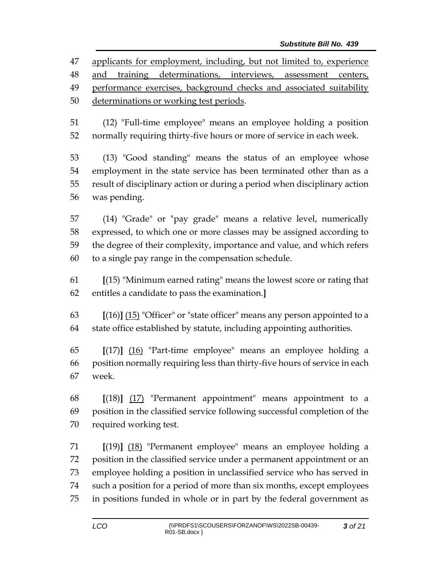applicants for employment, including, but not limited to, experience and training determinations, interviews, assessment centers, performance exercises, background checks and associated suitability determinations or working test periods.

 (12) "Full-time employee" means an employee holding a position normally requiring thirty-five hours or more of service in each week.

 (13) "Good standing" means the status of an employee whose employment in the state service has been terminated other than as a result of disciplinary action or during a period when disciplinary action was pending.

 (14) "Grade" or "pay grade" means a relative level, numerically expressed, to which one or more classes may be assigned according to the degree of their complexity, importance and value, and which refers to a single pay range in the compensation schedule.

 **[**(15) "Minimum earned rating" means the lowest score or rating that entitles a candidate to pass the examination.**]**

 **[**(16)**]** (15) "Officer" or "state officer" means any person appointed to a state office established by statute, including appointing authorities.

 **[**(17)**]** (16) "Part-time employee" means an employee holding a position normally requiring less than thirty-five hours of service in each week.

 **[**(18)**]** (17) "Permanent appointment" means appointment to a position in the classified service following successful completion of the required working test.

 **[**(19)**]** (18) "Permanent employee" means an employee holding a position in the classified service under a permanent appointment or an employee holding a position in unclassified service who has served in such a position for a period of more than six months, except employees in positions funded in whole or in part by the federal government as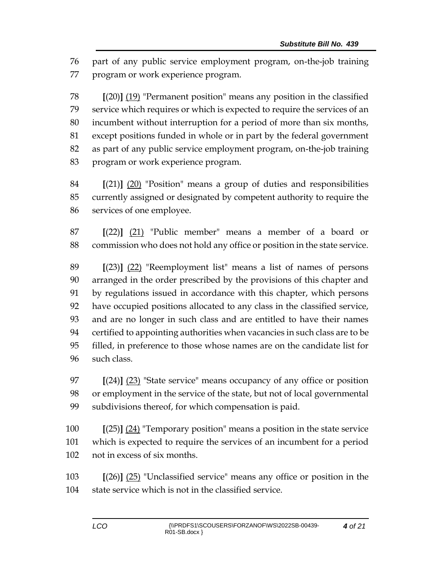part of any public service employment program, on-the-job training program or work experience program.

 **[**(20)**]** (19) "Permanent position" means any position in the classified service which requires or which is expected to require the services of an incumbent without interruption for a period of more than six months, except positions funded in whole or in part by the federal government as part of any public service employment program, on-the-job training program or work experience program.

 **[**(21)**]** (20) "Position" means a group of duties and responsibilities currently assigned or designated by competent authority to require the services of one employee.

 **[**(22)**]** (21) "Public member" means a member of a board or commission who does not hold any office or position in the state service.

 **[**(23)**]** (22) "Reemployment list" means a list of names of persons arranged in the order prescribed by the provisions of this chapter and by regulations issued in accordance with this chapter, which persons have occupied positions allocated to any class in the classified service, and are no longer in such class and are entitled to have their names certified to appointing authorities when vacancies in such class are to be filled, in preference to those whose names are on the candidate list for such class.

 **[**(24)**]** (23) "State service" means occupancy of any office or position or employment in the service of the state, but not of local governmental subdivisions thereof, for which compensation is paid.

 **[**(25)**]** (24) "Temporary position" means a position in the state service which is expected to require the services of an incumbent for a period not in excess of six months.

 **[**(26)**]** (25) "Unclassified service" means any office or position in the state service which is not in the classified service.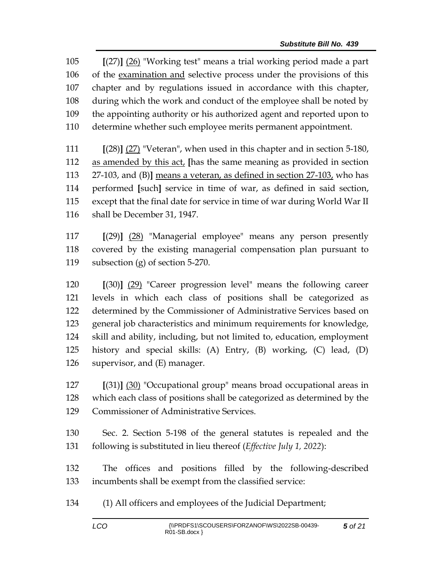**[**(27)**]** (26) "Working test" means a trial working period made a part of the examination and selective process under the provisions of this chapter and by regulations issued in accordance with this chapter, during which the work and conduct of the employee shall be noted by the appointing authority or his authorized agent and reported upon to determine whether such employee merits permanent appointment.

 **[**(28)**]** (27) "Veteran", when used in this chapter and in section 5-180, as amended by this act, **[**has the same meaning as provided in section 27-103, and (B)**]** means a veteran, as defined in section 27-103, who has performed **[**such**]** service in time of war, as defined in said section, except that the final date for service in time of war during World War II shall be December 31, 1947.

 **[**(29)**]** (28) "Managerial employee" means any person presently covered by the existing managerial compensation plan pursuant to subsection (g) of section 5-270.

 **[**(30)**]** (29) "Career progression level" means the following career levels in which each class of positions shall be categorized as determined by the Commissioner of Administrative Services based on general job characteristics and minimum requirements for knowledge, skill and ability, including, but not limited to, education, employment history and special skills: (A) Entry, (B) working, (C) lead, (D) supervisor, and (E) manager.

 **[**(31)**]** (30) "Occupational group" means broad occupational areas in which each class of positions shall be categorized as determined by the Commissioner of Administrative Services.

 Sec. 2. Section 5-198 of the general statutes is repealed and the following is substituted in lieu thereof (*Effective July 1, 2022*):

 The offices and positions filled by the following-described incumbents shall be exempt from the classified service:

(1) All officers and employees of the Judicial Department;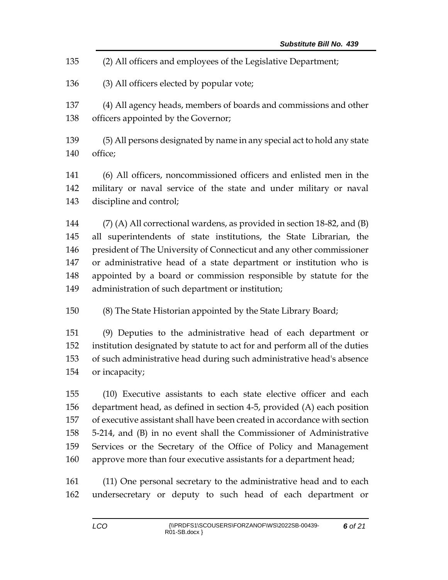- (2) All officers and employees of the Legislative Department;
- (3) All officers elected by popular vote;
- (4) All agency heads, members of boards and commissions and other officers appointed by the Governor;
- (5) All persons designated by name in any special act to hold any state office;

 (6) All officers, noncommissioned officers and enlisted men in the military or naval service of the state and under military or naval discipline and control;

 (7) (A) All correctional wardens, as provided in section 18-82, and (B) all superintendents of state institutions, the State Librarian, the president of The University of Connecticut and any other commissioner or administrative head of a state department or institution who is appointed by a board or commission responsible by statute for the administration of such department or institution;

(8) The State Historian appointed by the State Library Board;

 (9) Deputies to the administrative head of each department or institution designated by statute to act for and perform all of the duties of such administrative head during such administrative head's absence or incapacity;

 (10) Executive assistants to each state elective officer and each department head, as defined in section 4-5, provided (A) each position of executive assistant shall have been created in accordance with section 5-214, and (B) in no event shall the Commissioner of Administrative Services or the Secretary of the Office of Policy and Management approve more than four executive assistants for a department head;

 (11) One personal secretary to the administrative head and to each undersecretary or deputy to such head of each department or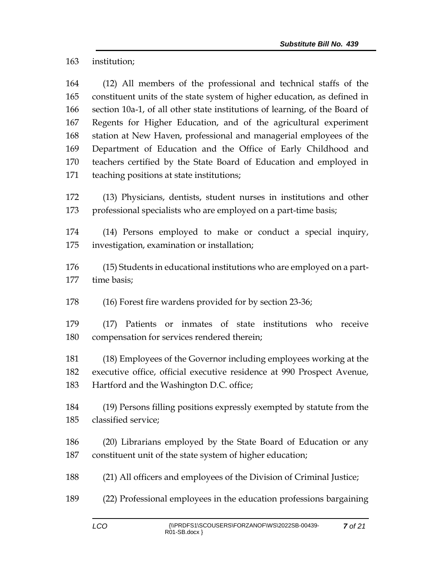institution;

 (12) All members of the professional and technical staffs of the constituent units of the state system of higher education, as defined in section 10a-1, of all other state institutions of learning, of the Board of Regents for Higher Education, and of the agricultural experiment station at New Haven, professional and managerial employees of the Department of Education and the Office of Early Childhood and teachers certified by the State Board of Education and employed in teaching positions at state institutions;

 (13) Physicians, dentists, student nurses in institutions and other 173 professional specialists who are employed on a part-time basis;

 (14) Persons employed to make or conduct a special inquiry, investigation, examination or installation;

 (15) Students in educational institutions who are employed on a part-time basis;

(16) Forest fire wardens provided for by section 23-36;

 (17) Patients or inmates of state institutions who receive compensation for services rendered therein;

 (18) Employees of the Governor including employees working at the executive office, official executive residence at 990 Prospect Avenue, Hartford and the Washington D.C. office;

 (19) Persons filling positions expressly exempted by statute from the classified service;

 (20) Librarians employed by the State Board of Education or any constituent unit of the state system of higher education;

(21) All officers and employees of the Division of Criminal Justice;

(22) Professional employees in the education professions bargaining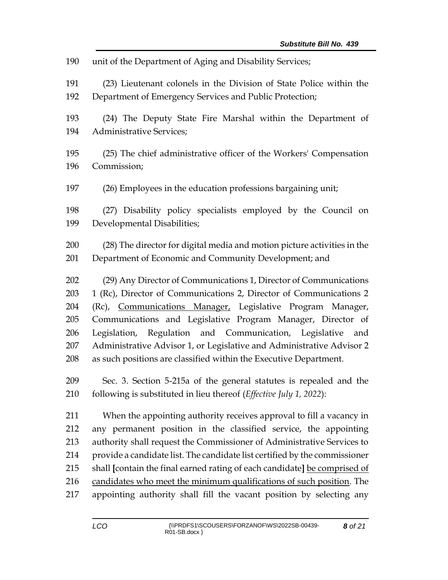| 190 | unit of the Department of Aging and Disability Services;                    |
|-----|-----------------------------------------------------------------------------|
| 191 | (23) Lieutenant colonels in the Division of State Police within the         |
| 192 | Department of Emergency Services and Public Protection;                     |
| 193 | (24) The Deputy State Fire Marshal within the Department of                 |
| 194 | <b>Administrative Services;</b>                                             |
| 195 | (25) The chief administrative officer of the Workers' Compensation          |
| 196 | Commission;                                                                 |
| 197 | (26) Employees in the education professions bargaining unit;                |
| 198 | (27) Disability policy specialists employed by the Council on               |
| 199 | Developmental Disabilities;                                                 |
| 200 | (28) The director for digital media and motion picture activities in the    |
| 201 | Department of Economic and Community Development; and                       |
| 202 | (29) Any Director of Communications 1, Director of Communications           |
| 203 | 1 (Rc), Director of Communications 2, Director of Communications 2          |
| 204 | (Rc), Communications Manager, Legislative Program Manager,                  |
| 205 | Communications and Legislative Program Manager, Director of                 |
| 206 | Legislation, Regulation and Communication, Legislative and                  |
| 207 | Administrative Advisor 1, or Legislative and Administrative Advisor 2       |
| 208 | as such positions are classified within the Executive Department.           |
| 209 | Sec. 3. Section 5-215a of the general statutes is repealed and the          |
| 210 | following is substituted in lieu thereof ( <i>Effective July 1</i> , 2022): |
| 211 | When the appointing authority receives approval to fill a vacancy in        |
| 212 | any permanent position in the classified service, the appointing            |
| 213 | authority shall request the Commissioner of Administrative Services to      |
| 214 | provide a candidate list. The candidate list certified by the commissioner  |
| 215 | shall [contain the final earned rating of each candidate] be comprised of   |
| 216 | candidates who meet the minimum qualifications of such position. The        |
| 217 | appointing authority shall fill the vacant position by selecting any        |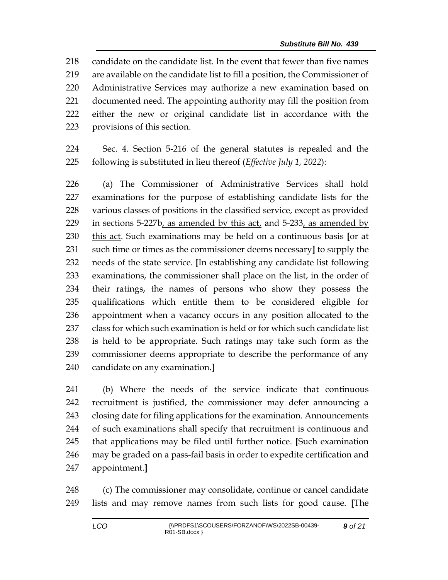candidate on the candidate list. In the event that fewer than five names are available on the candidate list to fill a position, the Commissioner of Administrative Services may authorize a new examination based on documented need. The appointing authority may fill the position from either the new or original candidate list in accordance with the provisions of this section.

 Sec. 4. Section 5-216 of the general statutes is repealed and the following is substituted in lieu thereof (*Effective July 1, 2022*):

 (a) The Commissioner of Administrative Services shall hold examinations for the purpose of establishing candidate lists for the various classes of positions in the classified service, except as provided in sections 5-227b, as amended by this act, and 5-233, as amended by this act. Such examinations may be held on a continuous basis **[**or at such time or times as the commissioner deems necessary**]** to supply the needs of the state service. **[**In establishing any candidate list following examinations, the commissioner shall place on the list, in the order of their ratings, the names of persons who show they possess the qualifications which entitle them to be considered eligible for appointment when a vacancy occurs in any position allocated to the class for which such examination is held or for which such candidate list is held to be appropriate. Such ratings may take such form as the commissioner deems appropriate to describe the performance of any candidate on any examination.**]**

 (b) Where the needs of the service indicate that continuous recruitment is justified, the commissioner may defer announcing a closing date for filing applications for the examination. Announcements of such examinations shall specify that recruitment is continuous and that applications may be filed until further notice. **[**Such examination may be graded on a pass-fail basis in order to expedite certification and appointment.**]**

 (c) The commissioner may consolidate, continue or cancel candidate lists and may remove names from such lists for good cause. **[**The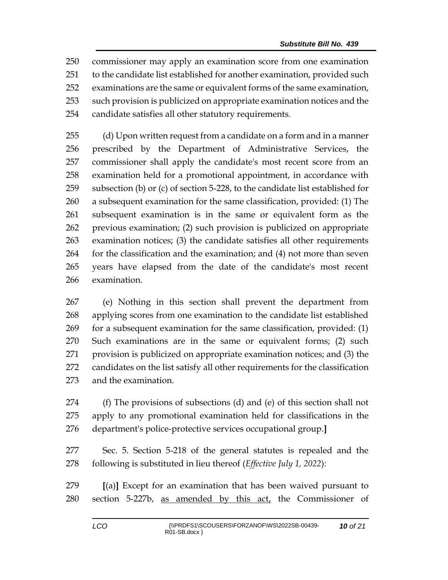commissioner may apply an examination score from one examination to the candidate list established for another examination, provided such examinations are the same or equivalent forms of the same examination, such provision is publicized on appropriate examination notices and the candidate satisfies all other statutory requirements.

 (d) Upon written request from a candidate on a form and in a manner prescribed by the Department of Administrative Services, the commissioner shall apply the candidate's most recent score from an examination held for a promotional appointment, in accordance with subsection (b) or (c) of section 5-228, to the candidate list established for a subsequent examination for the same classification, provided: (1) The subsequent examination is in the same or equivalent form as the previous examination; (2) such provision is publicized on appropriate examination notices; (3) the candidate satisfies all other requirements for the classification and the examination; and (4) not more than seven years have elapsed from the date of the candidate's most recent examination.

 (e) Nothing in this section shall prevent the department from applying scores from one examination to the candidate list established for a subsequent examination for the same classification, provided: (1) Such examinations are in the same or equivalent forms; (2) such provision is publicized on appropriate examination notices; and (3) the candidates on the list satisfy all other requirements for the classification and the examination.

 (f) The provisions of subsections (d) and (e) of this section shall not apply to any promotional examination held for classifications in the department's police-protective services occupational group.**]**

 Sec. 5. Section 5-218 of the general statutes is repealed and the following is substituted in lieu thereof (*Effective July 1, 2022*):

 **[**(a)**]** Except for an examination that has been waived pursuant to 280 section 5-227b, as amended by this act, the Commissioner of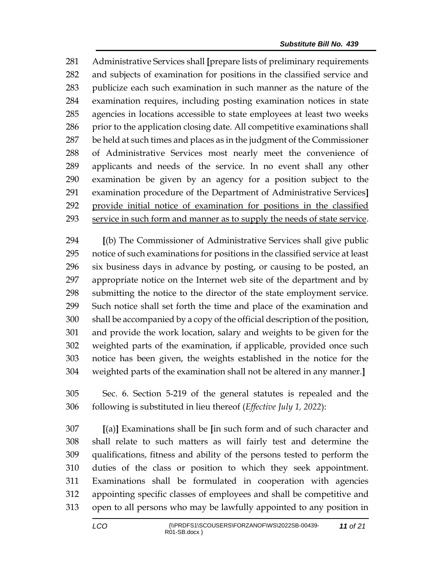Administrative Services shall **[**prepare lists of preliminary requirements and subjects of examination for positions in the classified service and publicize each such examination in such manner as the nature of the examination requires, including posting examination notices in state agencies in locations accessible to state employees at least two weeks 286 prior to the application closing date. All competitive examinations shall be held at such times and places as in the judgment of the Commissioner of Administrative Services most nearly meet the convenience of applicants and needs of the service. In no event shall any other examination be given by an agency for a position subject to the examination procedure of the Department of Administrative Services**]** provide initial notice of examination for positions in the classified service in such form and manner as to supply the needs of state service.

 **[**(b) The Commissioner of Administrative Services shall give public notice of such examinations for positions in the classified service at least six business days in advance by posting, or causing to be posted, an appropriate notice on the Internet web site of the department and by submitting the notice to the director of the state employment service. Such notice shall set forth the time and place of the examination and shall be accompanied by a copy of the official description of the position, and provide the work location, salary and weights to be given for the weighted parts of the examination, if applicable, provided once such notice has been given, the weights established in the notice for the weighted parts of the examination shall not be altered in any manner.**]**

 Sec. 6. Section 5-219 of the general statutes is repealed and the following is substituted in lieu thereof (*Effective July 1, 2022*):

 **[**(a)**]** Examinations shall be **[**in such form and of such character and shall relate to such matters as will fairly test and determine the qualifications, fitness and ability of the persons tested to perform the duties of the class or position to which they seek appointment. Examinations shall be formulated in cooperation with agencies appointing specific classes of employees and shall be competitive and open to all persons who may be lawfully appointed to any position in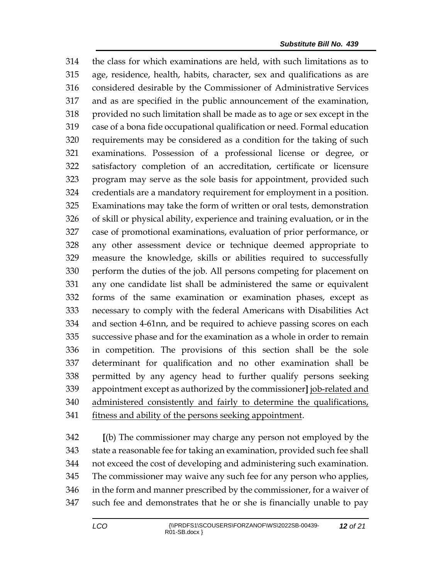the class for which examinations are held, with such limitations as to age, residence, health, habits, character, sex and qualifications as are considered desirable by the Commissioner of Administrative Services and as are specified in the public announcement of the examination, provided no such limitation shall be made as to age or sex except in the case of a bona fide occupational qualification or need. Formal education requirements may be considered as a condition for the taking of such examinations. Possession of a professional license or degree, or satisfactory completion of an accreditation, certificate or licensure program may serve as the sole basis for appointment, provided such credentials are a mandatory requirement for employment in a position. Examinations may take the form of written or oral tests, demonstration of skill or physical ability, experience and training evaluation, or in the case of promotional examinations, evaluation of prior performance, or any other assessment device or technique deemed appropriate to measure the knowledge, skills or abilities required to successfully perform the duties of the job. All persons competing for placement on any one candidate list shall be administered the same or equivalent forms of the same examination or examination phases, except as necessary to comply with the federal Americans with Disabilities Act and section 4-61nn, and be required to achieve passing scores on each successive phase and for the examination as a whole in order to remain in competition. The provisions of this section shall be the sole determinant for qualification and no other examination shall be permitted by any agency head to further qualify persons seeking appointment except as authorized by the commissioner**]** job-related and administered consistently and fairly to determine the qualifications, fitness and ability of the persons seeking appointment.

 **[**(b) The commissioner may charge any person not employed by the state a reasonable fee for taking an examination, provided such fee shall not exceed the cost of developing and administering such examination. The commissioner may waive any such fee for any person who applies, in the form and manner prescribed by the commissioner, for a waiver of such fee and demonstrates that he or she is financially unable to pay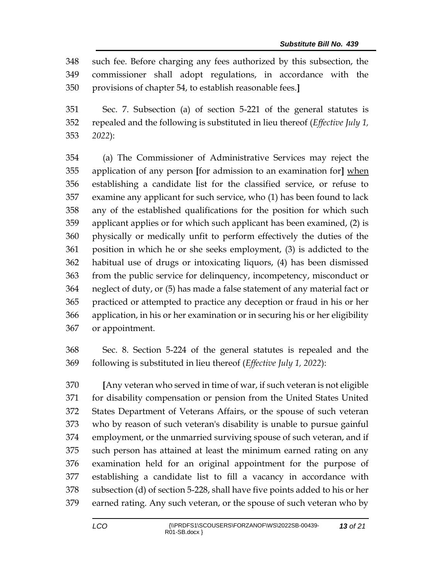such fee. Before charging any fees authorized by this subsection, the commissioner shall adopt regulations, in accordance with the provisions of chapter 54, to establish reasonable fees.**]**

 Sec. 7. Subsection (a) of section 5-221 of the general statutes is repealed and the following is substituted in lieu thereof (*Effective July 1, 2022*):

 (a) The Commissioner of Administrative Services may reject the application of any person **[**for admission to an examination for**]** when establishing a candidate list for the classified service, or refuse to examine any applicant for such service, who (1) has been found to lack any of the established qualifications for the position for which such applicant applies or for which such applicant has been examined, (2) is physically or medically unfit to perform effectively the duties of the position in which he or she seeks employment, (3) is addicted to the habitual use of drugs or intoxicating liquors, (4) has been dismissed from the public service for delinquency, incompetency, misconduct or neglect of duty, or (5) has made a false statement of any material fact or practiced or attempted to practice any deception or fraud in his or her application, in his or her examination or in securing his or her eligibility or appointment.

 Sec. 8. Section 5-224 of the general statutes is repealed and the following is substituted in lieu thereof (*Effective July 1, 2022*):

 **[**Any veteran who served in time of war, if such veteran is not eligible for disability compensation or pension from the United States United States Department of Veterans Affairs, or the spouse of such veteran who by reason of such veteran's disability is unable to pursue gainful employment, or the unmarried surviving spouse of such veteran, and if such person has attained at least the minimum earned rating on any examination held for an original appointment for the purpose of establishing a candidate list to fill a vacancy in accordance with subsection (d) of section 5-228, shall have five points added to his or her earned rating. Any such veteran, or the spouse of such veteran who by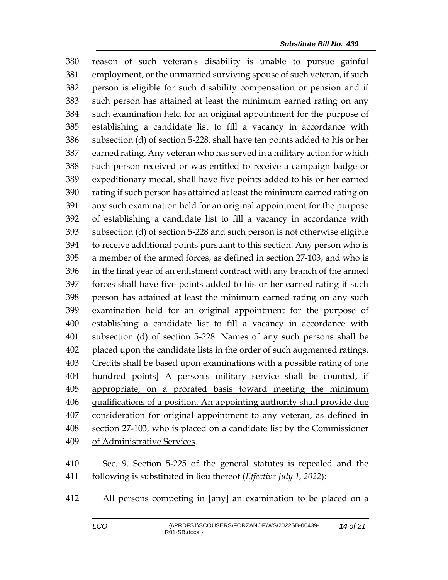reason of such veteran's disability is unable to pursue gainful employment, or the unmarried surviving spouse of such veteran, if such person is eligible for such disability compensation or pension and if such person has attained at least the minimum earned rating on any such examination held for an original appointment for the purpose of establishing a candidate list to fill a vacancy in accordance with subsection (d) of section 5-228, shall have ten points added to his or her earned rating. Any veteran who has served in a military action for which such person received or was entitled to receive a campaign badge or expeditionary medal, shall have five points added to his or her earned rating if such person has attained at least the minimum earned rating on any such examination held for an original appointment for the purpose of establishing a candidate list to fill a vacancy in accordance with subsection (d) of section 5-228 and such person is not otherwise eligible to receive additional points pursuant to this section. Any person who is a member of the armed forces, as defined in section 27-103, and who is in the final year of an enlistment contract with any branch of the armed forces shall have five points added to his or her earned rating if such person has attained at least the minimum earned rating on any such examination held for an original appointment for the purpose of establishing a candidate list to fill a vacancy in accordance with subsection (d) of section 5-228. Names of any such persons shall be placed upon the candidate lists in the order of such augmented ratings. Credits shall be based upon examinations with a possible rating of one hundred points**]** A person's military service shall be counted, if appropriate, on a prorated basis toward meeting the minimum qualifications of a position. An appointing authority shall provide due consideration for original appointment to any veteran, as defined in section 27-103, who is placed on a candidate list by the Commissioner of Administrative Services.

 Sec. 9. Section 5-225 of the general statutes is repealed and the following is substituted in lieu thereof (*Effective July 1, 2022*):

All persons competing in **[**any**]** an examination to be placed on a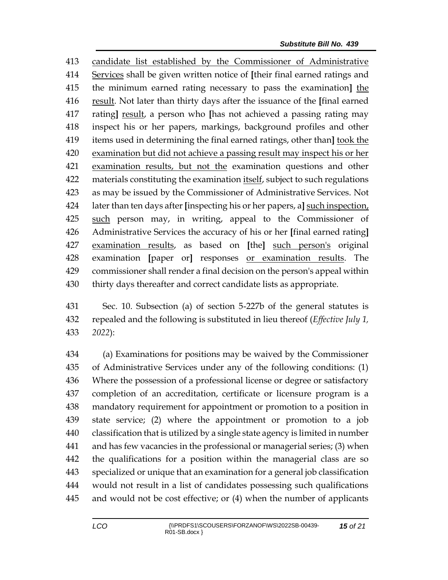candidate list established by the Commissioner of Administrative Services shall be given written notice of **[**their final earned ratings and the minimum earned rating necessary to pass the examination**]** the result. Not later than thirty days after the issuance of the **[**final earned rating**]** result, a person who **[**has not achieved a passing rating may inspect his or her papers, markings, background profiles and other items used in determining the final earned ratings, other than**]** took the examination but did not achieve a passing result may inspect his or her examination results, but not the examination questions and other materials constituting the examination itself, subject to such regulations as may be issued by the Commissioner of Administrative Services. Not later than ten days after **[**inspecting his or her papers, a**]** such inspection, such person may, in writing, appeal to the Commissioner of Administrative Services the accuracy of his or her **[**final earned rating**]** examination results, as based on **[**the**]** such person's original examination **[**paper or**]** responses or examination results. The commissioner shall render a final decision on the person's appeal within thirty days thereafter and correct candidate lists as appropriate.

 Sec. 10. Subsection (a) of section 5-227b of the general statutes is repealed and the following is substituted in lieu thereof (*Effective July 1, 2022*):

 (a) Examinations for positions may be waived by the Commissioner of Administrative Services under any of the following conditions: (1) Where the possession of a professional license or degree or satisfactory completion of an accreditation, certificate or licensure program is a mandatory requirement for appointment or promotion to a position in state service; (2) where the appointment or promotion to a job classification that is utilized by a single state agency is limited in number and has few vacancies in the professional or managerial series; (3) when the qualifications for a position within the managerial class are so specialized or unique that an examination for a general job classification would not result in a list of candidates possessing such qualifications and would not be cost effective; or (4) when the number of applicants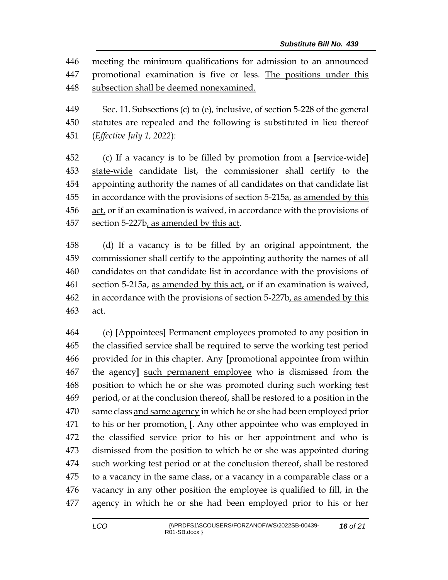meeting the minimum qualifications for admission to an announced promotional examination is five or less. The positions under this subsection shall be deemed nonexamined.

 Sec. 11. Subsections (c) to (e), inclusive, of section 5-228 of the general statutes are repealed and the following is substituted in lieu thereof (*Effective July 1, 2022*):

 (c) If a vacancy is to be filled by promotion from a **[**service-wide**]** state-wide candidate list, the commissioner shall certify to the appointing authority the names of all candidates on that candidate list in accordance with the provisions of section 5-215a, as amended by this act, or if an examination is waived, in accordance with the provisions of section 5-227b, as amended by this act.

 (d) If a vacancy is to be filled by an original appointment, the commissioner shall certify to the appointing authority the names of all candidates on that candidate list in accordance with the provisions of section 5-215a, as amended by this act, or if an examination is waived, in accordance with the provisions of section 5-227b, as amended by this act.

 (e) **[**Appointees**]** Permanent employees promoted to any position in the classified service shall be required to serve the working test period provided for in this chapter. Any **[**promotional appointee from within the agency**]** such permanent employee who is dismissed from the position to which he or she was promoted during such working test period, or at the conclusion thereof, shall be restored to a position in the same class and same agency in which he or she had been employed prior to his or her promotion, **[**. Any other appointee who was employed in the classified service prior to his or her appointment and who is dismissed from the position to which he or she was appointed during such working test period or at the conclusion thereof, shall be restored to a vacancy in the same class, or a vacancy in a comparable class or a vacancy in any other position the employee is qualified to fill, in the agency in which he or she had been employed prior to his or her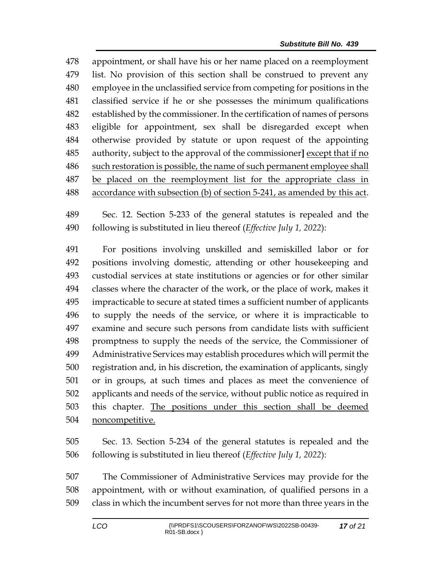appointment, or shall have his or her name placed on a reemployment list. No provision of this section shall be construed to prevent any employee in the unclassified service from competing for positions in the classified service if he or she possesses the minimum qualifications established by the commissioner. In the certification of names of persons eligible for appointment, sex shall be disregarded except when otherwise provided by statute or upon request of the appointing authority, subject to the approval of the commissioner**]** except that if no such restoration is possible, the name of such permanent employee shall be placed on the reemployment list for the appropriate class in accordance with subsection (b) of section 5-241, as amended by this act.

 Sec. 12. Section 5-233 of the general statutes is repealed and the following is substituted in lieu thereof (*Effective July 1, 2022*):

 For positions involving unskilled and semiskilled labor or for positions involving domestic, attending or other housekeeping and custodial services at state institutions or agencies or for other similar classes where the character of the work, or the place of work, makes it impracticable to secure at stated times a sufficient number of applicants to supply the needs of the service, or where it is impracticable to examine and secure such persons from candidate lists with sufficient promptness to supply the needs of the service, the Commissioner of Administrative Services may establish procedures which will permit the registration and, in his discretion, the examination of applicants, singly or in groups, at such times and places as meet the convenience of applicants and needs of the service, without public notice as required in this chapter. The positions under this section shall be deemed noncompetitive.

 Sec. 13. Section 5-234 of the general statutes is repealed and the following is substituted in lieu thereof (*Effective July 1, 2022*):

 The Commissioner of Administrative Services may provide for the appointment, with or without examination, of qualified persons in a class in which the incumbent serves for not more than three years in the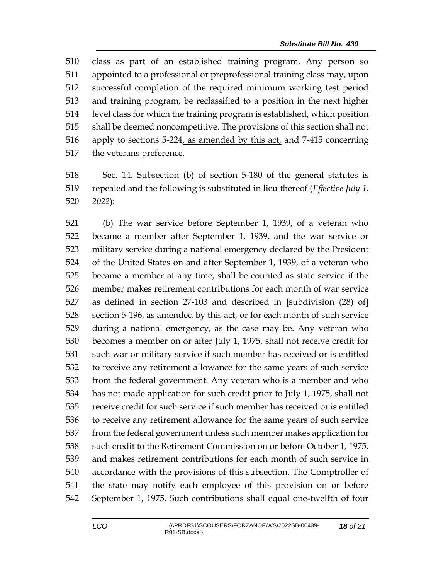class as part of an established training program. Any person so appointed to a professional or preprofessional training class may, upon successful completion of the required minimum working test period and training program, be reclassified to a position in the next higher 514 level class for which the training program is established, which position 515 shall be deemed noncompetitive. The provisions of this section shall not apply to sections 5-224, as amended by this act, and 7-415 concerning the veterans preference.

 Sec. 14. Subsection (b) of section 5-180 of the general statutes is repealed and the following is substituted in lieu thereof (*Effective July 1, 2022*):

 (b) The war service before September 1, 1939, of a veteran who became a member after September 1, 1939, and the war service or military service during a national emergency declared by the President of the United States on and after September 1, 1939, of a veteran who became a member at any time, shall be counted as state service if the member makes retirement contributions for each month of war service as defined in section 27-103 and described in **[**subdivision (28) of**]** section 5-196, as amended by this act, or for each month of such service during a national emergency, as the case may be. Any veteran who becomes a member on or after July 1, 1975, shall not receive credit for such war or military service if such member has received or is entitled to receive any retirement allowance for the same years of such service from the federal government. Any veteran who is a member and who has not made application for such credit prior to July 1, 1975, shall not receive credit for such service if such member has received or is entitled to receive any retirement allowance for the same years of such service from the federal government unless such member makes application for such credit to the Retirement Commission on or before October 1, 1975, and makes retirement contributions for each month of such service in accordance with the provisions of this subsection. The Comptroller of the state may notify each employee of this provision on or before September 1, 1975. Such contributions shall equal one-twelfth of four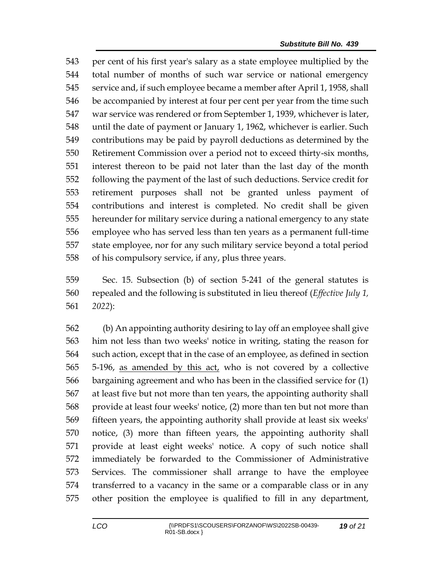per cent of his first year's salary as a state employee multiplied by the total number of months of such war service or national emergency service and, if such employee became a member after April 1, 1958, shall be accompanied by interest at four per cent per year from the time such war service was rendered or from September 1, 1939, whichever is later, until the date of payment or January 1, 1962, whichever is earlier. Such contributions may be paid by payroll deductions as determined by the Retirement Commission over a period not to exceed thirty-six months, interest thereon to be paid not later than the last day of the month following the payment of the last of such deductions. Service credit for retirement purposes shall not be granted unless payment of contributions and interest is completed. No credit shall be given hereunder for military service during a national emergency to any state employee who has served less than ten years as a permanent full-time state employee, nor for any such military service beyond a total period of his compulsory service, if any, plus three years.

 Sec. 15. Subsection (b) of section 5-241 of the general statutes is repealed and the following is substituted in lieu thereof (*Effective July 1, 2022*):

 (b) An appointing authority desiring to lay off an employee shall give him not less than two weeks' notice in writing, stating the reason for such action, except that in the case of an employee, as defined in section 5-196, as amended by this act, who is not covered by a collective bargaining agreement and who has been in the classified service for (1) at least five but not more than ten years, the appointing authority shall provide at least four weeks' notice, (2) more than ten but not more than fifteen years, the appointing authority shall provide at least six weeks' notice, (3) more than fifteen years, the appointing authority shall provide at least eight weeks' notice. A copy of such notice shall immediately be forwarded to the Commissioner of Administrative Services. The commissioner shall arrange to have the employee transferred to a vacancy in the same or a comparable class or in any other position the employee is qualified to fill in any department,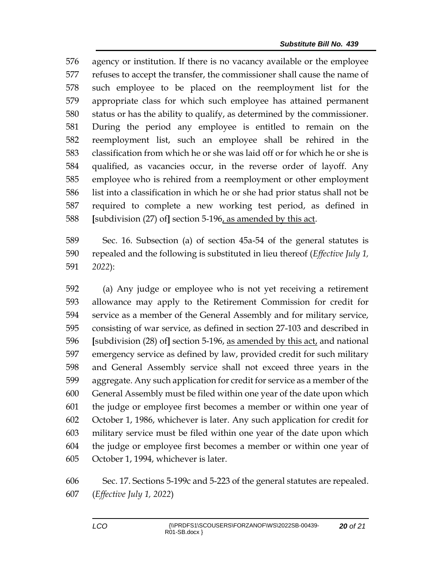agency or institution. If there is no vacancy available or the employee refuses to accept the transfer, the commissioner shall cause the name of such employee to be placed on the reemployment list for the appropriate class for which such employee has attained permanent status or has the ability to qualify, as determined by the commissioner. During the period any employee is entitled to remain on the reemployment list, such an employee shall be rehired in the classification from which he or she was laid off or for which he or she is qualified, as vacancies occur, in the reverse order of layoff. Any employee who is rehired from a reemployment or other employment list into a classification in which he or she had prior status shall not be required to complete a new working test period, as defined in **[**subdivision (27) of**]** section 5-196, as amended by this act.

 Sec. 16. Subsection (a) of section 45a-54 of the general statutes is repealed and the following is substituted in lieu thereof (*Effective July 1, 2022*):

 (a) Any judge or employee who is not yet receiving a retirement allowance may apply to the Retirement Commission for credit for service as a member of the General Assembly and for military service, consisting of war service, as defined in section 27-103 and described in **[**subdivision (28) of**]** section 5-196, as amended by this act, and national emergency service as defined by law, provided credit for such military and General Assembly service shall not exceed three years in the aggregate. Any such application for credit for service as a member of the General Assembly must be filed within one year of the date upon which the judge or employee first becomes a member or within one year of October 1, 1986, whichever is later. Any such application for credit for military service must be filed within one year of the date upon which the judge or employee first becomes a member or within one year of October 1, 1994, whichever is later.

 Sec. 17. Sections 5-199c and 5-223 of the general statutes are repealed. (*Effective July 1, 2022*)